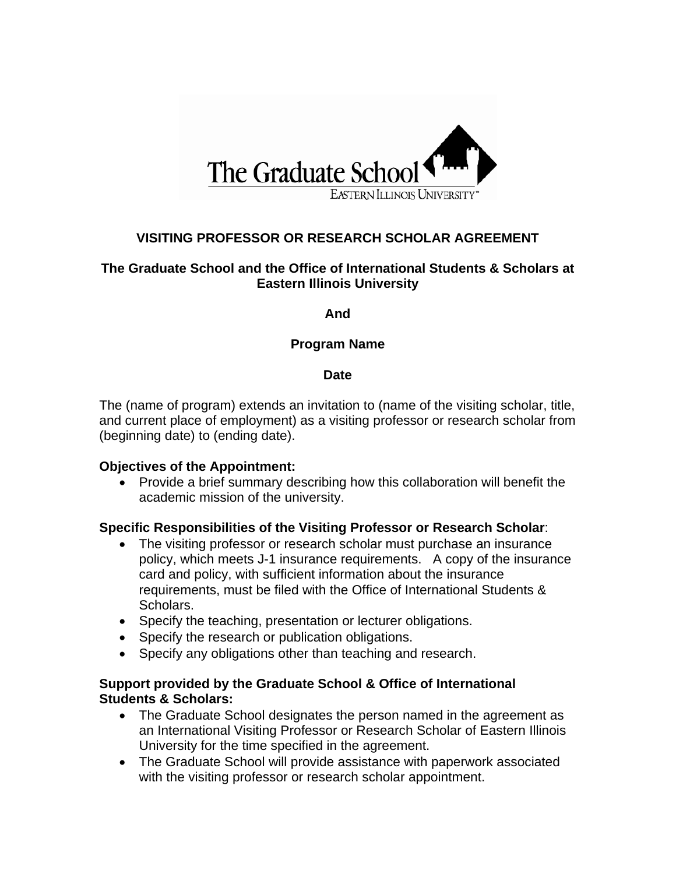

# **VISITING PROFESSOR OR RESEARCH SCHOLAR AGREEMENT**

## **The Graduate School and the Office of International Students & Scholars at Eastern Illinois University**

**And** 

## **Program Name**

#### **Date**

The (name of program) extends an invitation to (name of the visiting scholar, title, and current place of employment) as a visiting professor or research scholar from (beginning date) to (ending date).

### **Objectives of the Appointment:**

• Provide a brief summary describing how this collaboration will benefit the academic mission of the university.

### **Specific Responsibilities of the Visiting Professor or Research Scholar**:

- The visiting professor or research scholar must purchase an insurance policy, which meets J-1 insurance requirements. A copy of the insurance card and policy, with sufficient information about the insurance requirements, must be filed with the Office of International Students & Scholars.
- Specify the teaching, presentation or lecturer obligations.
- Specify the research or publication obligations.
- Specify any obligations other than teaching and research.

### **Support provided by the Graduate School & Office of International Students & Scholars:**

- The Graduate School designates the person named in the agreement as an International Visiting Professor or Research Scholar of Eastern Illinois University for the time specified in the agreement.
- The Graduate School will provide assistance with paperwork associated with the visiting professor or research scholar appointment.